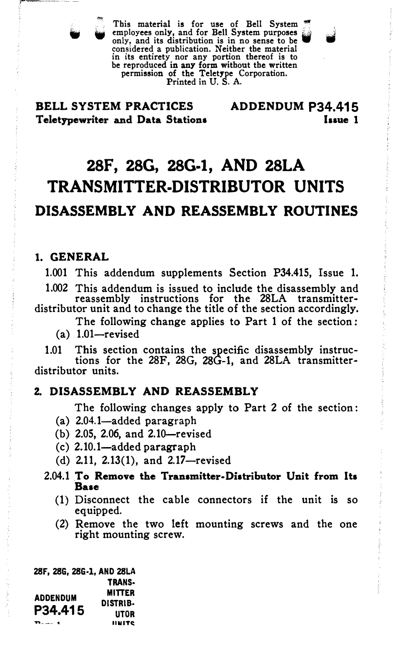This material is for use of Bell System  $\frac{100}{200}$  employees only, and for Bell System purposes only, and its distribution is in no sense to be  $\blacksquare$ <br>considered a publication. Neither the material in its entirety nor any portion thereof is to be reproduced in any form without the written permission of the Teletype Corporation. Printed in U. S. A.

# BELL SYSTEM PRACTICES Teletypewriter and Data Station•

W

ADDENDUM P34.415 Issue 1

# 28F, 28G, 28G-1, AND 28LA TRANSMITTER-DISTRIBUTOR UNITS DISASSEMBLY AND REASSEMBLY ROUTINES

# 1. GENERAL

1.001 This addendum supplements Section P34.415, Issue 1.

1.002 This addendum is issued to include the disassembly and reassembly instructions for the 28LA transmitterdistributor unit and to change the title of the section accordingly.

The following change applies to Part 1 of the section :

 $(a)$  1.01-revised

1.01 This section contains the specific disassembly instructions for the 28F, 28G, 28G-1, and 28LA transmitterdistributor units.

## 2. DISASSEMBLY AND REASSEMBLY

The following changes apply to Part 2 of the section:

- (a) 2.04.1-added paragraph
- (b) 2.05, 2.06, and 2.10-revised
- (c) 2.10.1-added paragraph
- (d) 2.11, 2.13(1), and 2.17-revised
- 2.04.1 To Remove the Tranamitter-Diatributor Unit from Ita Baae
	- (1) Disconnect the cable connectors if the unit is so equipped.
	- (2) Remove the two left mounting screws and the one right mounting screw.

28F, 28G, 28G·l, AND 28LA TRANS· ADDENDUM MITTER<br>P34.415 UTOR  $n_{\rm max}$ **IINITC**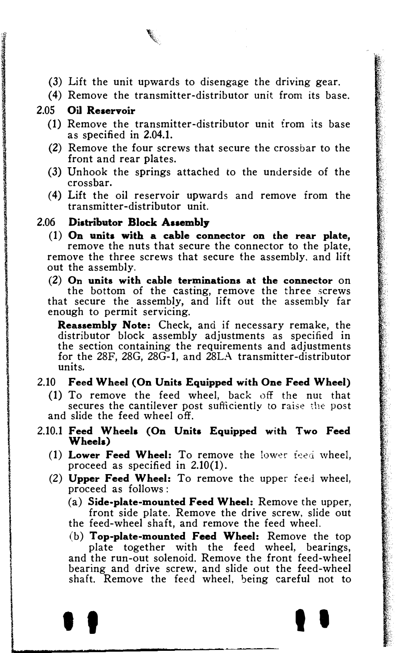(3) Lift the unit upwards to disengage the driving gear.

(4) Remove the transmitter-distributor unit from its base.

# 2.05 Oil Reaervoir

- (1) Remove the transmitter-distributor unit from its base as specified in 2.04.1.
- (2) Remove the four screws that secure the crossbar to the front and rear plates.
- (3) Unhook the springs attached to the underside of the crossbar.
- ( 4) Lift the oil reservoir upwards and remove from the transmitter-distributor unit.

## 2.06 Distributor Block Aaaembly

(1) On unita with a cable connector on the rear plate, remove the nuts that secure the connector to the plate, remove the three screws that secure the assembly, and lift out the assembly.

(2) On units with cable terminations at the connector on the bottom of the casting, remove the three screws that secure the assembly, and lift out the assembly far enough to permit servicing.

Reassembly Note: Check, and if necessary remake, the distributor block assembly adjustments as specified in the section containing the requirements and adjustments for the 28F, 28G, 28G-1, and 28LA transmitter-distributor units.

## 2.10 Feed Wheel (On Units Equipped with One Feed Wheel)

- (1) To remove the feed wheel, back Gff the nut that secures the cantilever post sufficiently to raise the post and slide the feed wheel off.
- 2.10.1 Feed Wheela (On Units Equipped with Two Feed Wheela)
	- (1) Lower Feed Wheel: To remove the lower feed wheel. proceed as specified in 2.10(1).
	- (2) Upper Feed Wheel: To remove the upper feed wheel, proceed as follows :
		- (a) Side-plate-mounted Feed Wheel: Remove the upper, front side plate. Remove the drive screw, slide out the feed-wheel shaft, and remove the feed wheel.
		- (b) Top-plate-mounted Feed Wheel: Remove the top

plate together with the feed wheel, bearings, and the run-out solenoid. Remove the front feed-wheel bearing and drive screw, and slide out the feed-wheel shaft. Remove the feed wheel, being careful not to

 $\bullet$   $\bullet$   $\bullet$   $\bullet$   $\bullet$   $\bullet$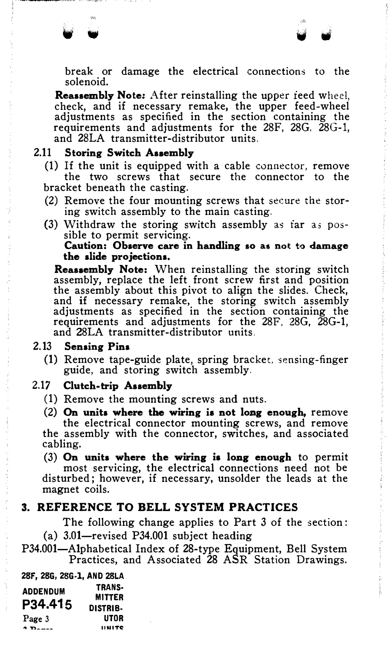break or damage the electrical connections to the solenoid.

Reassembly Note: After reinstalling the upper feed wheel, check, and if necessary remake, the upper feed-wheel adjustments as specified in the section containing the requirements and adjustments for the 28F, 28G, 28G-1, and 28LA transmitter-distributor units.

#### 2.11 Storing Switch Assembly

(1) If the unit is equipped with a cable connector, remove the two screws that secure the connector to the bracket beneath the casting.

- (2) Remove the four mounting screws that secure the storing switch assembly to the main casting.
- (3) Withdraw the storing switch assembly as far as possible to permit servicing.

Caution: Observe care in handling so as not to damage the slide projections.

Reassembly Note: When reinstalling the storing switch assembly, replace the left front screw first and position the assembly about this pivot to align the slides. Check, and if necessary remake, the storing switch assembly adjustments as specified in the section containing the requirements and adjustments for the 28F, 28G, 28G-1, and 28LA transmitter-distributor units.

## 2.13 Sensing Pins

(1) Remove tape-guide plate, spring bracket, sensing-finger guide, and storing switch assembly.

## 2.17 Clutch-trip Assembly

(1) Remove the mounting screws and nuts.

(2) On units where the wiring ie not long enough, remove the electrical connector mounting screws, and remove the assembly with the connector, switches, and associated

cabling.

(3) On units where the wiring is loug enough to permit most servicing, the electrical connections need not be disturbed; however, if necessary, unsolder the leads at the magnet coils.

## 3. REFERENCE TO BELL SYSTEM PRACTICES

The following change applies to Part 3 of the section: (a) 3.01-revised P34.001 subject heading

P34.001-A1phabetical Index of 28-type Equipment, Bell System Practices, and Associated 28 ASR Station Drawings.

| 28F, 28G, 28G-1, AND 28LA |               |
|---------------------------|---------------|
| <b>ADDENDUM</b>           | <b>TRANS-</b> |
|                           | <b>MITTER</b> |
| P34.415                   | DISTRIB-      |
| Page 3                    | <b>UTOR</b>   |
| 2.52                      | <b>IIMITC</b> |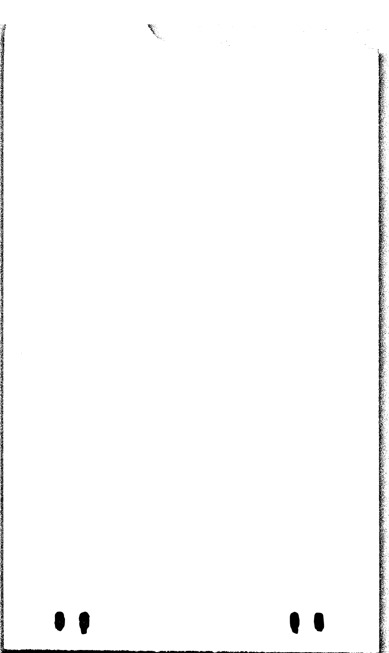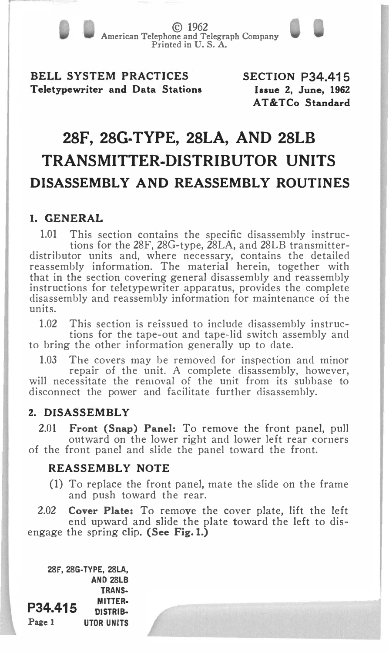8 D © 1962 American Telephone and Telegraph Company Printed in U. S. A.

BELL SYSTEM PRACTICES Teletypewriter and Data Stations SECTION P34.415 Issue 2, June, 1962 AT&TCo Standard

# 28F, 28G-TYPE, 28LA, AND 28LB TRANSMITTER-DISTRIBUTOR UNITS DISASSEMBLY AND REASSEMBLY ROUTINES

# 1. GENERAL

1.01 This section contains the specific disassembly instructions for the 28F, 28G-type, 28LA, and 28LB transmitterdistributor units and, where necessary, contains the detailed reassembly information. The material herein, together with that in the section covering general disassembly and reassembly instructions for teletypewriter apparatus, provides the complete disassembly and reassembly information for maintenance of the units.

1.02 This section is reissued to include disassembly instructions for the tape-out and tape-lid switch assembly and to bring the other information generally up to date.

1.03 The covers may be removed for inspection and minor repair of the unit. A complete disassembly, however, will necessitate the removal of the unit from its subbase to disconnect the power and facilitate further disassembly.

## 2. DISASSEMBLY

2.01 Front (Snap) Panel: To remove the front panel, pull outward on the lower right and lower left rear corners of the front panel and slide the panel toward the front.

## REASSEMBLY NOTE

(1) To replace the front panel, mate the slide on the frame and push toward the rear.

2.02 Cover Plate: To remove the cover plate, lift the left end upward and slide the plate toward the left to disengage the spring clip. (See Fig. 1.)

28F, 28G· TYPE, 28LA, P34.415 Page 1 AND 28LB TRANS. MITTER· DlSTRIB· UTOR UNITS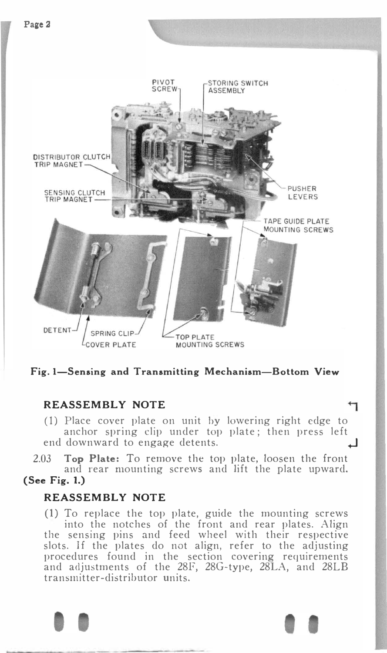

## Fig.l-Sensing and Transmitting Mechanism-Bottom View

## REASSEMBLY NOTE

(1) Place cover plate on unit by lowering right edge to anchor spring clip under top plate; then press left end downward to engage detents.

2.03 Top Plate: To remove the top plate, loosen the front and rear mounting screws and lift the plate upward. (See Fig. 1.)

## REASSEMBLY NOTE

(1) To replace the top plate, guide the mounting screws into the notches of the front and rear plates. Align the sensing pins and feed wheel with their respective slots. If the plates do not align, refer to the adjusting procedures found in the section covering requirements and adjustments of the 28F, 28G-type, 28LA, and 28LB transmitter-distributor units.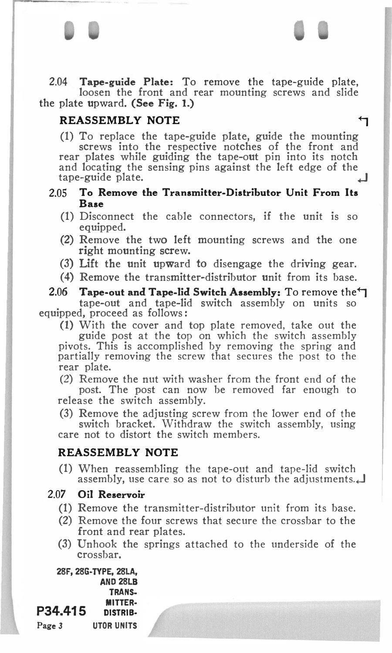2.04 Tape-guide Plate: To remove the tape-guide plate, loosen the front and rear mounting screws and slide the plate upward. (See Fig. 1.)

#### REASSEMBLY NOTE

(1) To replace the tape-guide plate, guide the mounting screws into the respective notches of the front and rear plates while guiding the tape-out pin into its notch and locating the sensing pins against the left edge of the tape-guide plate.

#### 2.05 To Remove the Transmitter-Distributor Unit From Its Base

- (1) Disconnect the cable connectors, if the unit is so equipped.
- (2) Remove the two left mounting screws and the one right mounting screw.
- (3) Lift the unit upward to disengage the driving gear.
- (4) Remove the transmitter-distributor unit from its base.

2.06 Tape-out and Tape-lid Switch Assembly: To remove the  $\uparrow$ tape-out and tape-lid switch assembly on units so equipped, proceed as follows :

(1) With the cover and top plate removed, take out the guide post at the top on which the switch assembly pivots. This is accomplished by removing the spring and partially removing the screw that secures the post to the rear plate.

(2) Remove the nut with washer from the front end of the post. The post can now be removed far enough to release the switch assembly.

(3) Remove the adjusting screw from the lower end of the switch bracket. Withdraw the switch assembly, using care not to distort the switch members.

## REASSEMBLY NOTE

(1) When reassembling the tape-out and tape-lid switch assembly, use care so as not to disturb the adjustments . .J

#### 2.07 Oil Reservoir

- (1) Remove the transmitter-distributor unit from its base.
- (2) Remove the four screws that secure the crossbar to the front and rear plates.
- (3) Unhook the springs attached to the underside of the crossbar.

28F, 28G-TYPE, 28LA, AND 28LB TRANS-MITTER· P34.415 DISTRIB· Page 3 UTOR UNITS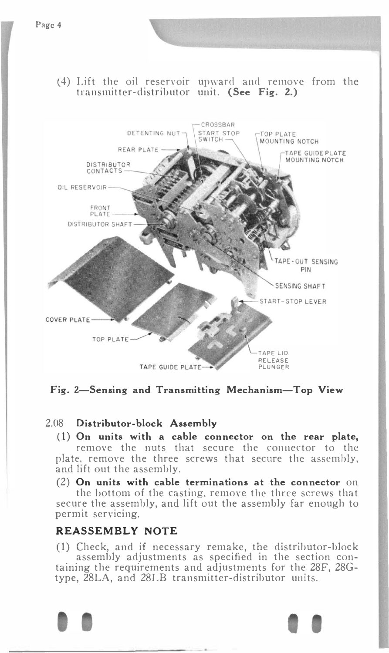(4) Lift the oil reservoir upward and remove from the transmitter-distributor unit. (See Fig. 2.)



Fig. 2-Sensing and Transmitting Mechanism-Top View

## 2.08 Distributor-block Assembly

(1) On units with a cable connector on the rear plate, remove the nuts that secure the connector to the plate, remove the three screws that secure the assembly, and lift out the assembly.

(2) On units with cable terminations at the connector on the bottom of the casting, remove the three screws that secure the assembly, and lift out the assembly far enough to permit servicing.

## REASSEMBLY NOTE

(1) Check, and if necessary remake, the distributor-block assembly adjustments as specified in the section containing the requirements and adjustments for the 28F, 28Gtype, 28LA, and 28LB transmitter-distributor units.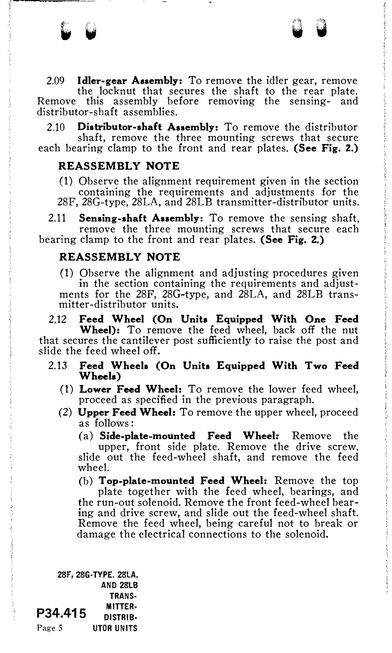2.09 Idler-gear Assembly: To remove the idler gear, remove the locknut that secures the shaft to the rear plate. Remove this assembly before removing the sensing- and distributor-shaft assemblies.

2.10 Distributor-shaft Assembly: To remove the distributor shaft, remove the three mounting screws that secure each bearing clamp to the front and rear plates. (See Fig. 2.)

# REASSEMBLY NOTE

(1) Observe the alignment requirement given in the section containing the requirements and adjustments for the 28F, 28G-type, 28LA, and 28LB transmitter-distributor units.

2.11 Sensing-shaft Assembly: To remove the sensing shaft, remove the three mounting screws that secure each bearing clamp to the front and rear plates. (See Fig. 2.)

# REASSEMBLY NOTE

- (1) Observe the alignment and adjusting procedures given in the section containing the requirements and adjustments for the 28F, 28G-type, and 28LA, and 28LB transmitter-distributor units.
- 2.12 Feed Wheel (On Units Equipped With One Feed Wheel): To remove the feed wheel, back off the nut that secures the cantilever post sufficiently to raise the post and slide the feed wheel off.
	- 2.13 Feed Wheels (On Units Equipped With Two Feed Wheels)
		- (1) Lower Feed Wheel: To remove the lower feed wheel, proceed as specified in the previous paragraph.
		- (2) **Upper Feed Wheel:** To remove the upper wheel, proceed as follows:

(a) Side-plate-mounted Feed Wheel: Remove the upper, front side plate. Remove the drive screw, slide out the feed-wheel shaft, and remove the feed wheel.

(b) Top-plate-mounted Feed Wheel: Remove the top plate together with the feed wheel, bearings, and the run-out solenoid. Remove the front feed-wheel bearing and drive screw, and slide out the feed-wheel shaft. Remove the feed wheel, being careful not to break or damage the electrical connections to the solenoid.

28F, 28G·TYPE. 28LA, P34.415 Page 5 AND 28LB TRANS· MITTER· DISTRIB· UTOR UNITS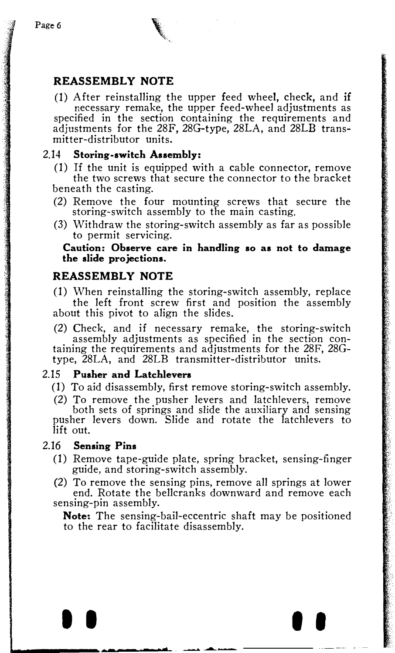

# REASSEMBLY NOTE

(1) After reinstalling the upper feed wheel, check, and if necessary remake, the upper feed-wheel adjustments as specified in the section containing the requirements and adjustments for the 28F, 28G-type, 28LA, and 28LB transmitter-distributor units.

## 2.14 Storing-switch Assembly:

(1) If the unit is equipped with a cable connector, remove the two screws that secure the connector to the bracket beneath the casting.

- (2) Remove the four mounting screws that secure the storing-switch assembly to the main casting.
- (3) Withdraw the storing-switch assembly as far as possible to permit servicing.

Caution: Observe care in handling so as not to damage the slide projections.

# REASSEMBLY NOTE

(1) When reinstalling the storing-switch assembly, replace the left front screw first and position the assembly about this pivot to align the slides.

(2) Check, and if necessary remake, the storing-switch assembly adjustments as specified in the section containing the requirements and adjustments for the 28F, 28Gtype, 28LA, and 28LB transmitter-distributor units.

## 2.15 Pusher and Latchlevers

.\_ \_\_\_\_\_\_\_ \_. \_\_\_\_\_\_ ...... � ------

(1) To aid disassembly, first remove storing-switch assembly.

(2) To remove the pusher levers and latchlevers, remove both sets of springs and slide the auxiliary and sensing pusher levers down. Slide and rotate the latchlevers to lift out.

## 2.16 Sensing Pins

(1) Remove tape-guide plate, spring bracket, sensing-finger guide, and storing-switch assembly.

(2) To remove the sensing pins, remove all springs at lower end. Rotate the bellcranks downward and remove each sensing-pin assembly.

Note: The sensing-bail-eccentric shaft may be positioned to the rear to facilitate disassembly.

I I I I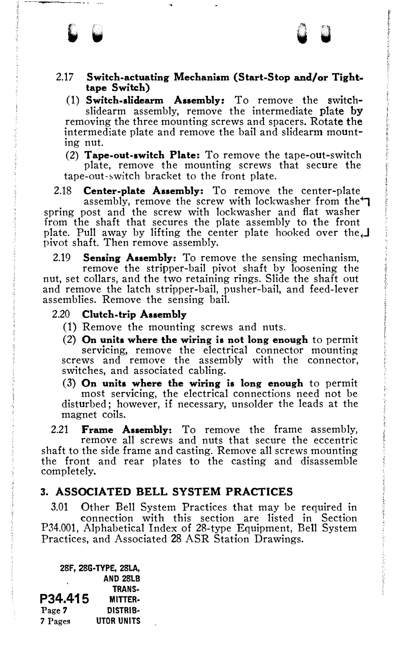- 
- 2.17 Switch-actuating Mechanism (Start-Stop and/or Tighttape Switch)

(1) Switch-slidearm Assembly: To remove the switchslidearm assembly, remove the intermediate plate by removing the three mounting screws and spacers. Rotate the intermediate plate and remove the bail and slidearm mounting nut.

(2) Tape-out-switch Plate: To remove the tape-out-switch plate, remove the mounting screws that secure the tape-out-5witch bracket to the front plate.

2.18 Center-plate Assembly: To remove the center-plate assembly, remove the screw with lockwasher from the $\hbox{\small\sf -I}$ spring post and the screw with lockwasher and flat washer from the shaft that secures the plate assembly to the front plate. Pull away by lifting the center plate hooked over the..J pivot shaft. Then remove assembly.

2.19 **Sensing Assembly:** To remove the sensing mechanism, remove the stripper-bail pivot shaft by loosening the nut, set collars, and the two retaining rings. Slide the shaft out and remove the latch stripper-bail, pusher-bail, and feed-lever assemblies. Remove the sensing bail.

## 2.20 Clutch-trip Assembly

- (1) Remove the mounting screws and nuts.
- (2) On units where the wiring is not long enough to permit servicing, remove the electrical connector mounting screws and remove the assembly with the connector, switches, and associated cabling.

(3) On units where the wiring is long enough to permit most servicing, the electrical connections need not be disturbed; however, if necessary, unsolder the leads at the magnet coils.

2.21 **Frame Assembly:** To remove the frame assembly, remove all screws and nuts that secure the eccentric shaft to the side frame and casting. Remove all screws mounting the front and rear plates to the casting and disassemble completely.

# 3. ASSOCIATED BELL SYSTEM PRACTICES

3.01 Other Bell System Practices that may be required in connection with this section are listed in Section P34.001, Alphabetical Index of 28-type Equipment, Bell System Practices, and Associated 28 ASR Station Drawings.

2SF, 2SG-TYPE, 2SLA, P34.415 Page 7 7 Pages AND 2SLB TRANS-MITTER-DISTRIB· UTOR UNITS